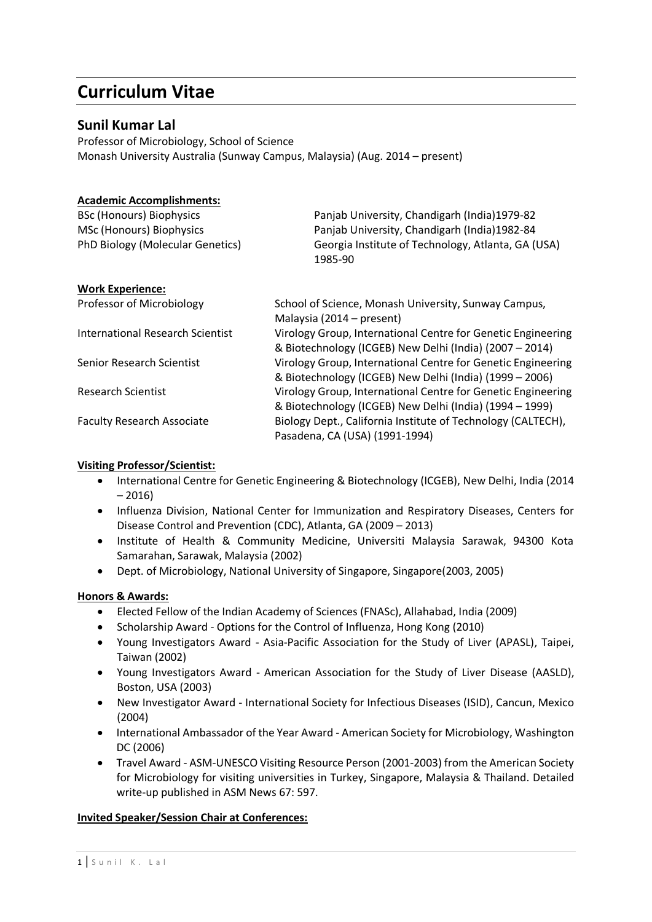## **Curriculum Vitae**

## **Sunil Kumar Lal**

Professor of Microbiology, School of Science Monash University Australia (Sunway Campus, Malaysia) (Aug. 2014 – present)

## **Academic Accomplishments:**

| <b>BSc (Honours) Biophysics</b>   | Panjab University, Chandigarh (India)1979-82                  |
|-----------------------------------|---------------------------------------------------------------|
| MSc (Honours) Biophysics          | Panjab University, Chandigarh (India)1982-84                  |
| PhD Biology (Molecular Genetics)  | Georgia Institute of Technology, Atlanta, GA (USA)<br>1985-90 |
| <b>Work Experience:</b>           |                                                               |
| Professor of Microbiology         | School of Science, Monash University, Sunway Campus,          |
|                                   | Malaysia (2014 – present)                                     |
| International Research Scientist  | Virology Group, International Centre for Genetic Engineering  |
|                                   | & Biotechnology (ICGEB) New Delhi (India) (2007 - 2014)       |
| Senior Research Scientist         | Virology Group, International Centre for Genetic Engineering  |
|                                   | & Biotechnology (ICGEB) New Delhi (India) (1999 - 2006)       |
| <b>Research Scientist</b>         | Virology Group, International Centre for Genetic Engineering  |
|                                   | & Biotechnology (ICGEB) New Delhi (India) (1994 - 1999)       |
| <b>Faculty Research Associate</b> | Biology Dept., California Institute of Technology (CALTECH),  |
|                                   | Pasadena, CA (USA) (1991-1994)                                |

#### **Visiting Professor/Scientist:**

- International Centre for Genetic Engineering & Biotechnology (ICGEB), New Delhi, India (2014 – 2016)
- Influenza Division, National Center for Immunization and Respiratory Diseases, Centers for Disease Control and Prevention (CDC), Atlanta, GA (2009 – 2013)
- Institute of Health & Community Medicine, Universiti Malaysia Sarawak, 94300 Kota Samarahan, Sarawak, Malaysia (2002)
- Dept. of Microbiology, National University of Singapore, Singapore(2003, 2005)

## **Honors & Awards:**

- Elected Fellow of the Indian Academy of Sciences (FNASc), Allahabad, India (2009)
- Scholarship Award Options for the Control of Influenza, Hong Kong (2010)
- Young Investigators Award Asia-Pacific Association for the Study of Liver (APASL), Taipei, Taiwan (2002)
- Young Investigators Award American Association for the Study of Liver Disease (AASLD), Boston, USA (2003)
- New Investigator Award International Society for Infectious Diseases (ISID), Cancun, Mexico (2004)
- International Ambassador of the Year Award American Society for Microbiology, Washington DC (2006)
- Travel Award ASM-UNESCO Visiting Resource Person (2001-2003) from the American Society for Microbiology for visiting universities in Turkey, Singapore, Malaysia & Thailand. Detailed write-up published in ASM News 67: 597.

## **Invited Speaker/Session Chair at Conferences:**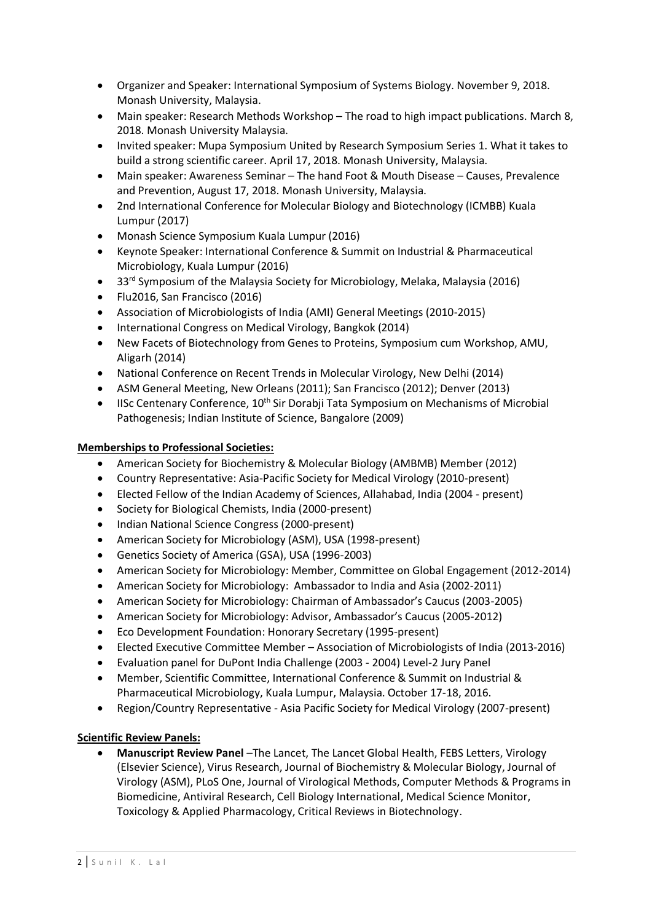- Organizer and Speaker: International Symposium of Systems Biology. November 9, 2018. Monash University, Malaysia.
- Main speaker: Research Methods Workshop The road to high impact publications. March 8, 2018. Monash University Malaysia.
- Invited speaker: Mupa Symposium United by Research Symposium Series 1. What it takes to build a strong scientific career. April 17, 2018. Monash University, Malaysia.
- Main speaker: Awareness Seminar The hand Foot & Mouth Disease Causes, Prevalence and Prevention, August 17, 2018. Monash University, Malaysia.
- 2nd International Conference for Molecular Biology and Biotechnology (ICMBB) Kuala Lumpur (2017)
- Monash Science Symposium Kuala Lumpur (2016)
- Keynote Speaker: International Conference & Summit on Industrial & Pharmaceutical Microbiology, Kuala Lumpur (2016)
- 33<sup>rd</sup> Symposium of the Malaysia Society for Microbiology, Melaka, Malaysia (2016)
- Flu2016, San Francisco (2016)
- Association of Microbiologists of India (AMI) General Meetings (2010-2015)
- International Congress on Medical Virology, Bangkok (2014)
- New Facets of Biotechnology from Genes to Proteins, Symposium cum Workshop, AMU, Aligarh (2014)
- National Conference on Recent Trends in Molecular Virology, New Delhi (2014)
- ASM General Meeting, New Orleans (2011); San Francisco (2012); Denver (2013)
- IISc Centenary Conference,  $10<sup>th</sup>$  Sir Dorabii Tata Symposium on Mechanisms of Microbial Pathogenesis; Indian Institute of Science, Bangalore (2009)

#### **Memberships to Professional Societies:**

- American Society for Biochemistry & Molecular Biology (AMBMB) Member (2012)
- Country Representative: Asia-Pacific Society for Medical Virology (2010-present)
- Elected Fellow of the Indian Academy of Sciences, Allahabad, India (2004 present)
- Society for Biological Chemists, India (2000-present)
- Indian National Science Congress (2000-present)
- American Society for Microbiology (ASM), USA (1998-present)
- Genetics Society of America (GSA), USA (1996-2003)
- American Society for Microbiology: Member, Committee on Global Engagement (2012-2014)
- American Society for Microbiology: Ambassador to India and Asia (2002-2011)
- American Society for Microbiology: Chairman of Ambassador's Caucus (2003-2005)
- American Society for Microbiology: Advisor, Ambassador's Caucus (2005-2012)
- Eco Development Foundation: Honorary Secretary (1995-present)
- Elected Executive Committee Member Association of Microbiologists of India (2013-2016)
- Evaluation panel for DuPont India Challenge (2003 2004) Level-2 Jury Panel
- Member, Scientific Committee, International Conference & Summit on Industrial & Pharmaceutical Microbiology, Kuala Lumpur, Malaysia. October 17-18, 2016.
- Region/Country Representative Asia Pacific Society for Medical Virology (2007-present)

## **Scientific Review Panels:**

 **Manuscript Review Panel** –The Lancet, The Lancet Global Health, FEBS Letters, Virology (Elsevier Science), Virus Research, Journal of Biochemistry & Molecular Biology, Journal of Virology (ASM), PLoS One, Journal of Virological Methods, Computer Methods & Programs in Biomedicine, Antiviral Research, Cell Biology International, Medical Science Monitor, Toxicology & Applied Pharmacology, Critical Reviews in Biotechnology.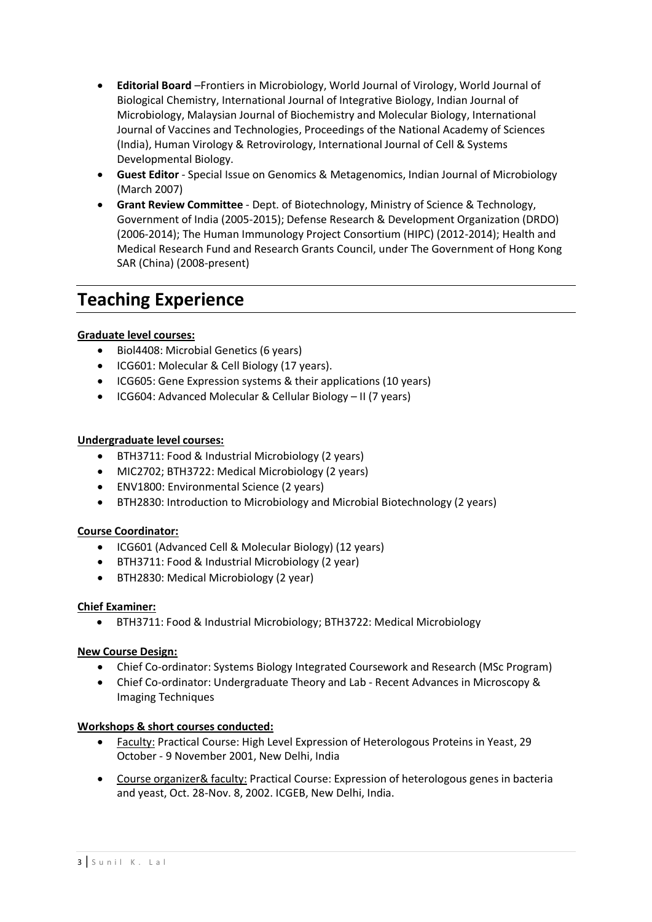- **Editorial Board** –Frontiers in Microbiology, World Journal of Virology, World Journal of Biological Chemistry, International Journal of Integrative Biology, Indian Journal of Microbiology, Malaysian Journal of Biochemistry and Molecular Biology, International Journal of Vaccines and Technologies, Proceedings of the National Academy of Sciences (India), Human Virology & Retrovirology, International Journal of Cell & Systems Developmental Biology.
- **Guest Editor** Special Issue on Genomics & Metagenomics, Indian Journal of Microbiology (March 2007)
- **Grant Review Committee** Dept. of Biotechnology, Ministry of Science & Technology, Government of India (2005-2015); Defense Research & Development Organization (DRDO) (2006-2014); The Human Immunology Project Consortium (HIPC) (2012-2014); Health and Medical Research Fund and Research Grants Council, under The Government of Hong Kong SAR (China) (2008-present)

# **Teaching Experience**

## **Graduate level courses:**

- Biol4408: Microbial Genetics (6 years)
- ICG601: Molecular & Cell Biology (17 years).
- ICG605: Gene Expression systems & their applications (10 years)
- ICG604: Advanced Molecular & Cellular Biology II (7 years)

#### **Undergraduate level courses:**

- BTH3711: Food & Industrial Microbiology (2 years)
- MIC2702; BTH3722: Medical Microbiology (2 years)
- ENV1800: Environmental Science (2 years)
- BTH2830: Introduction to Microbiology and Microbial Biotechnology (2 years)

#### **Course Coordinator:**

- ICG601 (Advanced Cell & Molecular Biology) (12 years)
- BTH3711: Food & Industrial Microbiology (2 year)
- BTH2830: Medical Microbiology (2 year)

#### **Chief Examiner:**

BTH3711: Food & Industrial Microbiology; BTH3722: Medical Microbiology

#### **New Course Design:**

- Chief Co-ordinator: Systems Biology Integrated Coursework and Research (MSc Program)
- Chief Co-ordinator: Undergraduate Theory and Lab Recent Advances in Microscopy & Imaging Techniques

#### **Workshops & short courses conducted:**

- Faculty: Practical Course: High Level Expression of Heterologous Proteins in Yeast, 29 October - 9 November 2001, New Delhi, India
- Course organizer& faculty: Practical Course: Expression of heterologous genes in bacteria and yeast, Oct. 28-Nov. 8, 2002. ICGEB, New Delhi, India.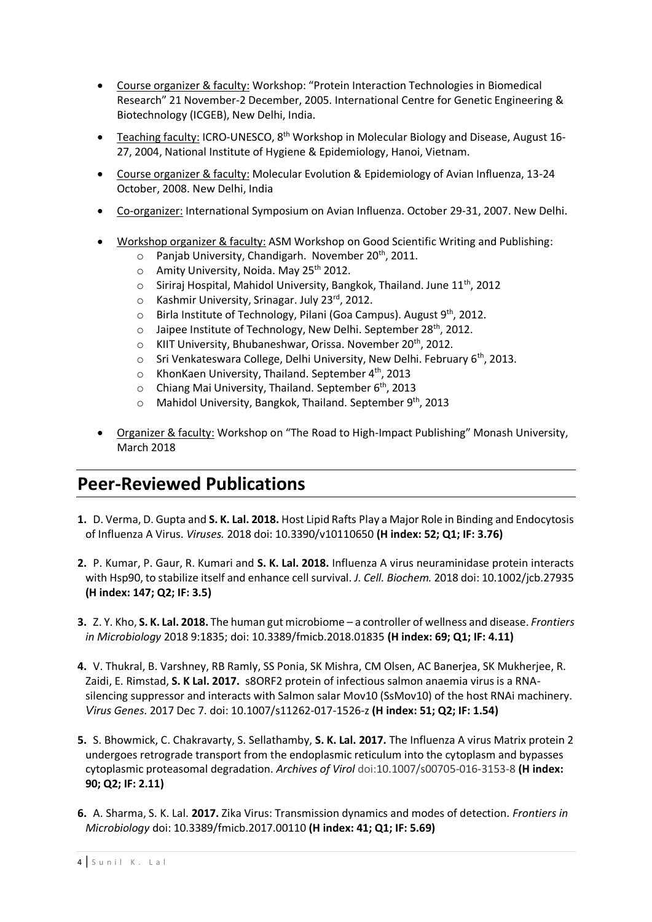- Course organizer & faculty: Workshop: "Protein Interaction Technologies in Biomedical Research" 21 November-2 December, 2005. International Centre for Genetic Engineering & Biotechnology (ICGEB), New Delhi, India.
- Teaching faculty: ICRO-UNESCO, 8<sup>th</sup> Workshop in Molecular Biology and Disease, August 16-27, 2004, National Institute of Hygiene & Epidemiology, Hanoi, Vietnam.
- Course organizer & faculty: Molecular Evolution & Epidemiology of Avian Influenza, 13-24 October, 2008. New Delhi, India
- Co-organizer: International Symposium on Avian Influenza. October 29-31, 2007. New Delhi.
- Workshop organizer & faculty: ASM Workshop on Good Scientific Writing and Publishing:
	- $\circ$  Panjab University, Chandigarh. November 20<sup>th</sup>, 2011.
	- $\circ$  Amity University, Noida. May 25<sup>th</sup> 2012.
	- $\circ$  Siriraj Hospital, Mahidol University, Bangkok, Thailand. June 11<sup>th</sup>, 2012
	- o Kashmir University, Srinagar. July 23rd, 2012.
	- o Birla Institute of Technology, Pilani (Goa Campus). August 9<sup>th</sup>, 2012.
	- $\circ$  Jaipee Institute of Technology, New Delhi. September 28<sup>th</sup>, 2012.
	- $\circ$  KIIT University, Bhubaneshwar, Orissa. November 20<sup>th</sup>, 2012.
	- o Sri Venkateswara College, Delhi University, New Delhi. February 6<sup>th</sup>, 2013.
	- $\circ$  KhonKaen University, Thailand. September 4<sup>th</sup>, 2013
	- $\circ$  Chiang Mai University, Thailand. September 6<sup>th</sup>, 2013
	- $\circ$  Mahidol University, Bangkok, Thailand, September 9<sup>th</sup>, 2013
- Organizer & faculty: Workshop on "The Road to High-Impact Publishing" Monash University, March 2018

## **Peer-Reviewed Publications**

- **1.** D. Verma, D. Gupta and **S. K. Lal. 2018.** Host Lipid Rafts Play a Major Role in Binding and Endocytosis of Influenza A Virus. *Viruses.* 2018 doi: 10.3390/v10110650 **(H index: 52; Q1; IF: 3.76)**
- **2.** P. Kumar, P. Gaur, R. Kumari and **S. K. Lal. 2018.** Influenza A virus neuraminidase protein interacts with Hsp90, to stabilize itself and enhance cell survival. *J. Cell. Biochem.* 2018 doi: 10.1002/jcb.27935 **(H index: 147; Q2; IF: 3.5)**
- **3.** Z. Y. Kho, **S. K. Lal. 2018.** The human gut microbiome a controller of wellness and disease. *Frontiers in Microbiology* 2018 9:1835; doi: 10.3389/fmicb.2018.01835 **(H index: 69; Q1; IF: 4.11)**
- **4.** V. Thukral, B. Varshney, RB Ramly, SS Ponia, SK Mishra, CM Olsen, AC Banerjea, SK Mukherjee, R. Zaidi, E. Rimstad, **S. K Lal. 2017.** [s8ORF2 protein of infectious salmon anaemia virus is a RNA](https://www.ncbi.nlm.nih.gov/pubmed/29218433)[silencing suppressor and interacts with Salmon salar Mov10 \(SsMov10\) of the host RNAi machinery.](https://www.ncbi.nlm.nih.gov/pubmed/29218433) *Virus Genes*. 2017 Dec 7. doi: 10.1007/s11262-017-1526-z **(H index: 51; Q2; IF: 1.54)**
- **5.** S. Bhowmick, C. Chakravarty, S. Sellathamby, **S. K. Lal. 2017.** The Influenza A virus Matrix protein 2 undergoes retrograde transport from the endoplasmic reticulum into the cytoplasm and bypasses cytoplasmic proteasomal degradation. *Archives of Virol* doi[:10.1007/s00705-016-3153-8](https://dx.doi.org/10.1007/s00705-016-3153-8) **(H index: 90; Q2; IF: 2.11)**
- **6.** A. Sharma, S. K. Lal. **2017.** Zika Virus: Transmission dynamics and modes of detection. *Frontiers in Microbiology* doi: 10.3389/fmicb.2017.00110 **(H index: 41; Q1; IF: 5.69)**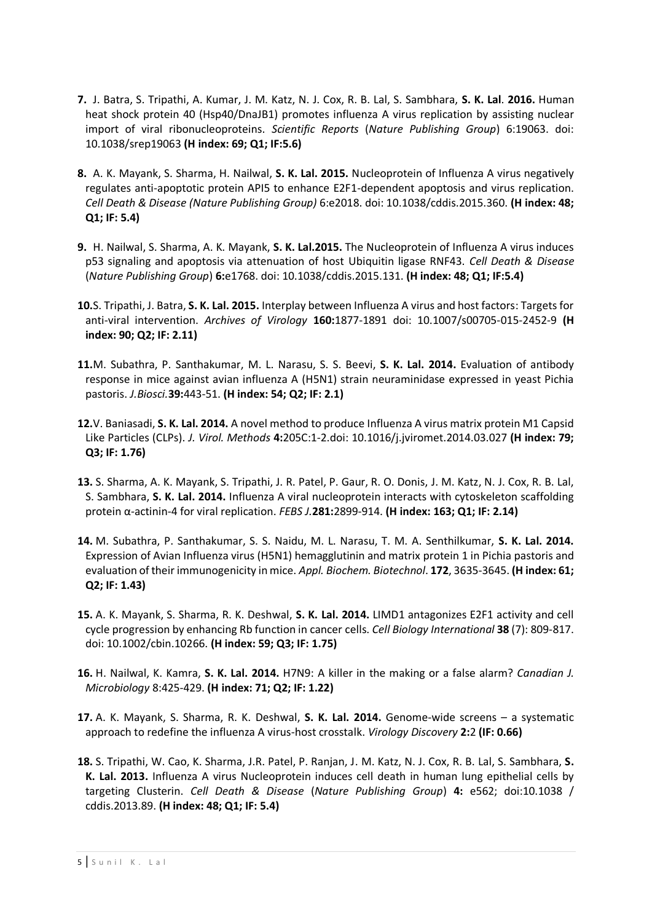- **7.** J. Batra, S. Tripathi, A. Kumar, J. M. Katz, N. J. Cox, R. B. Lal, S. Sambhara, **S. K. Lal**. **2016.** Human heat shock protein 40 (Hsp40/DnaJB1) promotes influenza A virus replication by assisting nuclear import of viral ribonucleoproteins. *Scientific Reports* (*Nature Publishing Group*) 6:19063. doi: 10.1038/srep19063 **(H index: 69; Q1; IF:5.6)**
- **8.** A. K. Mayank, S. Sharma, H. Nailwal, **S. K. Lal. 2015.** Nucleoprotein of Influenza A virus negatively regulates anti-apoptotic protein API5 to enhance E2F1-dependent apoptosis and virus replication. *Cell Death & Disease (Nature Publishing Group)* 6:e2018. doi: 10.1038/cddis.2015.360. **(H index: 48; Q1; IF: 5.4)**
- **9.** H. Nailwal, S. Sharma, A. K. Mayank, **S. K. Lal.2015.** The Nucleoprotein of Influenza A virus induces p53 signaling and apoptosis via attenuation of host Ubiquitin ligase RNF43. *Cell Death & Disease* (*Nature Publishing Group*) **6:**e1768. doi: 10.1038/cddis.2015.131. **(H index: 48; Q1; IF:5.4)**
- **10.**S. Tripathi, J. Batra, **S. K. Lal. 2015.** Interplay between Influenza A virus and host factors: Targets for anti-viral intervention. *Archives of Virology* **160:**1877-1891 doi: 10.1007/s00705-015-2452-9 **(H index: 90; Q2; IF: 2.11)**
- **11.**M. Subathra, P. Santhakumar, M. L. Narasu, S. S. Beevi, **S. K. Lal. 2014.** [Evaluation of antibody](http://www.ncbi.nlm.nih.gov/pubmed/24845508)  [response in mice against avian influenza A \(H5N1\) strain neuraminidase expressed in yeast Pichia](http://www.ncbi.nlm.nih.gov/pubmed/24845508) [pastoris.](http://www.ncbi.nlm.nih.gov/pubmed/24845508) *J.Biosci.***39:**443-51. **(H index: 54; Q2; IF: 2.1)**
- **12.**V. Baniasadi, **S. K. Lal. 2014.** A novel method to produce Influenza A virus matrix protein M1 Capsid Like Particles (CLPs). *J. Virol. Methods* **4:**205C:1-2.doi: 10.1016/j.jviromet.2014.03.027 **(H index: 79; Q3; IF: 1.76)**
- **13.** S. Sharma, A. K. Mayank, S. Tripathi, J. R. Patel, P. Gaur, R. O. Donis, J. M. Katz, N. J. Cox, R. B. Lal, S. Sambhara, **S. K. Lal. 2014.** Influenza A viral nucleoprotein interacts with cytoskeleton scaffolding protein α-actinin-4 for viral replication. *FEBS J.***281:**2899-914. **(H index: 163; Q1; IF: 2.14)**
- **14.** M. Subathra, P. Santhakumar, S. S. Naidu, M. L. Narasu, T. M. A. Senthilkumar, **S. K. Lal. 2014.**  Expression of Avian Influenza virus (H5N1) hemagglutinin and matrix protein 1 in Pichia pastoris and evaluation of their immunogenicity in mice. *Appl. Biochem. Biotechnol*. **172**, 3635-3645. **(H index: 61; Q2; IF: 1.43)**
- **15.** A. K. Mayank, S. Sharma, R. K. Deshwal, **S. K. Lal. 2014.** LIMD1 antagonizes E2F1 activity and cell cycle progression by enhancing Rb function in cancer cells. *Cell Biology International* **38** (7): 809-817. doi: 10.1002/cbin.10266. **(H index: 59; Q3; IF: 1.75)**
- **16.** H. Nailwal, K. Kamra, **S. K. Lal. 2014.** H7N9: A killer in the making or a false alarm? *Canadian J. Microbiology* 8:425-429. **(H index: 71; Q2; IF: 1.22)**
- **17.** A. K. Mayank, S. Sharma, R. K. Deshwal, **S. K. Lal. 2014.** Genome-wide screens a systematic approach to redefine the influenza A virus-host crosstalk. *Virology Discovery* **2:**2 **(IF: 0.66)**
- **18.** S. Tripathi, W. Cao, K. Sharma, J.R. Patel, P. Ranjan, J. M. Katz, N. J. Cox, R. B. Lal, S. Sambhara, **S. K. Lal. 2013.** Influenza A virus Nucleoprotein induces cell death in human lung epithelial cells by targeting Clusterin. *Cell Death & Disease* (*Nature Publishing Group*) **4:** e562; doi:10.1038 / cddis.2013.89. **(H index: 48; Q1; IF: 5.4)**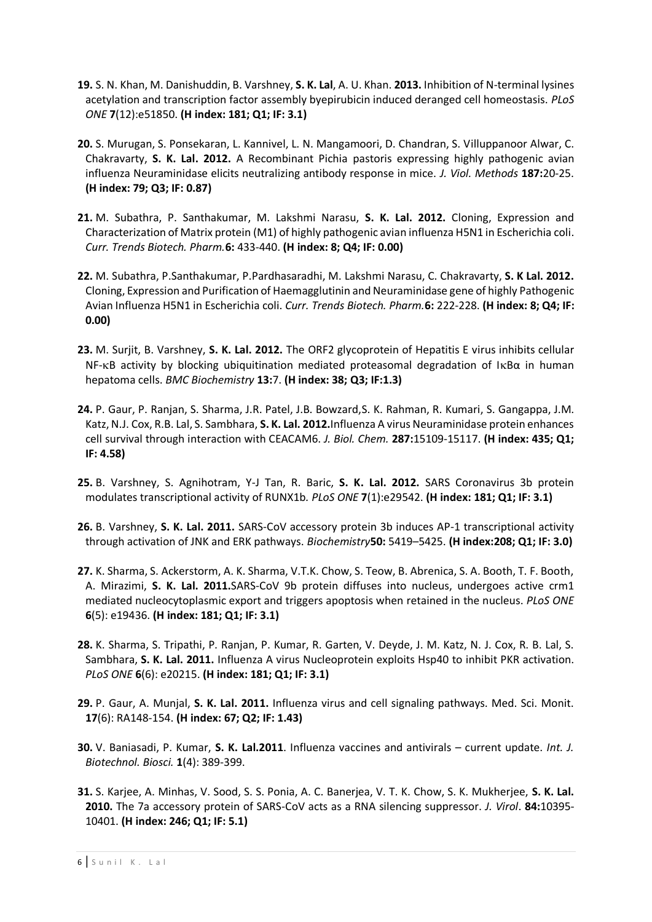- **19.** S. N. Khan, M. Danishuddin, B. Varshney, **S. K. Lal**, A. U. Khan. **2013.** Inhibition of N-terminal lysines acetylation and transcription factor assembly byepirubicin induced deranged cell homeostasis. *PLoS ONE* **7**(12):e51850. **(H index: 181; Q1; IF: 3.1)**
- **20.** S. Murugan, S. Ponsekaran, L. Kannivel, L. N. Mangamoori, D. Chandran, S. Villuppanoor Alwar, C. Chakravarty, **S. K. Lal. 2012.** A Recombinant Pichia pastoris expressing highly pathogenic avian influenza Neuraminidase elicits neutralizing antibody response in mice. *J. Viol. Methods* **187:**20-25. **(H index: 79; Q3; IF: 0.87)**
- **21.** M. Subathra, P. Santhakumar, M. Lakshmi Narasu, **S. K. Lal. 2012.** [Cloning, Expression and](http://www.indianjournals.com/ijor.Aspx?target=ijor:ctbp&volume=6&issue=4&article=006)  [Characterization of Matrix protein \(M1\) of highly pathogenic avian influenza H5N1 in Escherichia coli.](http://www.indianjournals.com/ijor.Aspx?target=ijor:ctbp&volume=6&issue=4&article=006) *Curr. Trends Biotech. Pharm.***6:** 433-440. **(H index: 8; Q4; IF: 0.00)**
- **22.** M. Subathra, P.Santhakumar, P.Pardhasaradhi, M. Lakshmi Narasu, C. Chakravarty, **S. K Lal. 2012.** [Cloning, Expression and Purification of Haemagglutinin and Neuraminidase gene of highly Pathogenic](http://abap.co.in/files/CTBP_6_2.pdf#page=110)  [Avian Influenza H5N1 in Escherichia coli.](http://abap.co.in/files/CTBP_6_2.pdf#page=110) *Curr. Trends Biotech. Pharm.***6:** 222-228. **(H index: 8; Q4; IF: 0.00)**
- **23.** M. Surjit, B. Varshney, **S. K. Lal. 2012.** The ORF2 glycoprotein of Hepatitis E virus inhibits cellular NF-KB activity by blocking ubiquitination mediated proteasomal degradation of IKΒα in human hepatoma cells. *BMC Biochemistry* **13:**7. **(H index: 38; Q3; IF:1.3)**
- **24.** P. Gaur, P. Ranjan, S. Sharma, J.R. Patel, J.B. Bowzard,S. K. Rahman, R. Kumari, S. Gangappa, J.M. Katz, N.J. Cox, R.B. Lal, S. Sambhara, **S. K. Lal. 2012.**Influenza A virus Neuraminidase protein enhances cell survival through interaction with CEACAM6. *J. Biol. Chem.* **287:**15109-15117. **(H index: 435; Q1; IF: 4.58)**
- **25.** B. Varshney, S. Agnihotram, Y-J Tan, R. Baric, **S. K. Lal. 2012.** SARS Coronavirus 3b protein modulates transcriptional activity of RUNX1b*. PLoS ONE* **7**(1):e29542. **(H index: 181; Q1; IF: 3.1)**
- **26.** B. Varshney, **S. K. Lal. 2011.** SARS-CoV accessory protein 3b induces AP-1 transcriptional activity through activation of JNK and ERK pathways. *Biochemistry***50:** 5419–5425. **(H index:208; Q1; IF: 3.0)**
- **27.** K. Sharma, S. Ackerstorm, A. K. Sharma, V.T.K. Chow, S. Teow, B. Abrenica, S. A. Booth, T. F. Booth, A. Mirazimi, **S. K. Lal. 2011.**SARS-CoV 9b protein diffuses into nucleus, undergoes active crm1 mediated nucleocytoplasmic export and triggers apoptosis when retained in the nucleus. *PLoS ONE* **6**(5): e19436. **(H index: 181; Q1; IF: 3.1)**
- **28.** K. Sharma, S. Tripathi, P. Ranjan, P. Kumar, R. Garten, V. Deyde, J. M. Katz, N. J. Cox, R. B. Lal, S. Sambhara, **S. K. Lal. 2011.** Influenza A virus Nucleoprotein exploits Hsp40 to inhibit PKR activation. *PLoS ONE* **6**(6): e20215. **(H index: 181; Q1; IF: 3.1)**
- **29.** P. Gaur, A. Munjal, **S. K. Lal. 2011.** Influenza virus and cell signaling pathways. Med. Sci. Monit. **17**(6): RA148-154. **(H index: 67; Q2; IF: 1.43)**
- **30.** V. Baniasadi, P. Kumar, **S. K. Lal.2011**. Influenza vaccines and antivirals current update. *Int. J. Biotechnol. Biosci.* **1**(4): 389-399.
- **31.** S. Karjee, A. Minhas, V. Sood, S. S. Ponia, A. C. Banerjea, V. T. K. Chow, S. K. Mukherjee, **S. K. Lal. 2010.** The 7a accessory protein of SARS-CoV acts as a RNA silencing suppressor. *J. Virol*. **84:**10395- 10401. **(H index: 246; Q1; IF: 5.1)**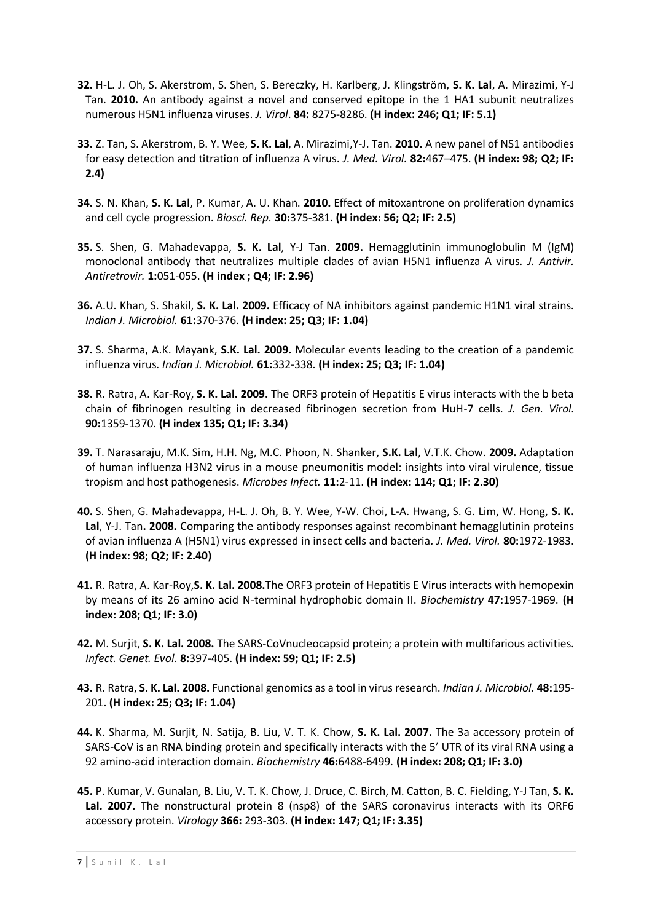- **32.** H-L. J. Oh, S. Akerstrom, S. Shen, S. Bereczky, H. Karlberg, J. Klingström, **S. K. Lal**, A. Mirazimi, Y-J Tan. **2010.** An antibody against a novel and conserved epitope in the 1 HA1 subunit neutralizes numerous H5N1 influenza viruses. *J. Virol*. **84:** 8275-8286. **(H index: 246; Q1; IF: 5.1)**
- **33.** Z. Tan, S. Akerstrom, B. Y. Wee, **S. K. Lal**, A. Mirazimi,Y-J. Tan. **2010.** A new panel of NS1 antibodies for easy detection and titration of influenza A virus. *J. Med. Virol.* **82:**467–475. **(H index: 98; Q2; IF: 2.4)**
- **34.** S. N. Khan, **S. K. Lal**, P. Kumar, A. U. Khan. **2010.** Effect of mitoxantrone on proliferation dynamics and cell cycle progression. *Biosci. Rep.* **30:**375-381. **(H index: 56; Q2; IF: 2.5)**
- **35.** S. Shen, G. Mahadevappa, **S. K. Lal**, Y-J Tan. **2009.** Hemagglutinin immunoglobulin M (IgM) monoclonal antibody that neutralizes multiple clades of avian H5N1 influenza A virus. *J. Antivir. Antiretrovir.* **1:**051-055. **(H index ; Q4; IF: 2.96)**
- **36.** A.U. Khan, S. Shakil, **S. K. Lal. 2009.** Efficacy of NA inhibitors against pandemic H1N1 viral strains. *Indian J. Microbiol.* **61:**370-376. **(H index: 25; Q3; IF: 1.04)**
- **37.** S. Sharma, A.K. Mayank, **S.K. Lal. 2009.** Molecular events leading to the creation of a pandemic influenza virus. *Indian J. Microbiol.* **61:**332-338. **(H index: 25; Q3; IF: 1.04)**
- **38.** R. Ratra, A. Kar-Roy, **S. K. Lal. 2009.** The ORF3 protein of Hepatitis E virus interacts with the b beta chain of fibrinogen resulting in decreased fibrinogen secretion from HuH-7 cells. *J. Gen. Virol.* **90:**1359-1370. **(H index 135; Q1; IF: 3.34)**
- **39.** T. Narasaraju, M.K. Sim, H.H. Ng, M.C. Phoon, N. Shanker, **S.K. Lal**, V.T.K. Chow. **2009.** Adaptation of human influenza H3N2 virus in a mouse pneumonitis model: insights into viral virulence, tissue tropism and host pathogenesis. *Microbes Infect.* **11:**2-11. **(H index: 114; Q1; IF: 2.30)**
- **40.** S. Shen, G. Mahadevappa, H-L. J. Oh, B. Y. Wee, Y-W. Choi, L-A. Hwang, S. G. Lim, W. Hong, **S. K. Lal**, Y-J. Tan**. 2008.** Comparing the antibody responses against recombinant hemagglutinin proteins of avian influenza A (H5N1) virus expressed in insect cells and bacteria*. J. Med. Virol.* **80:**1972-1983. **(H index: 98; Q2; IF: 2.40)**
- **41.** R. Ratra, A. Kar-Roy,**S. K. Lal. 2008.**The ORF3 protein of Hepatitis E Virus interacts with hemopexin by means of its 26 amino acid N-terminal hydrophobic domain II. *Biochemistry* **47:**1957-1969. **(H index: 208; Q1; IF: 3.0)**
- **42.** M. Surjit, **S. K. Lal. 2008.** The SARS-CoVnucleocapsid protein; a protein with multifarious activities. *Infect. Genet. Evol*. **8:**397-405. **(H index: 59; Q1; IF: 2.5)**
- **43.** R. Ratra, **S. K. Lal. 2008.** Functional genomics as a tool in virus research. *Indian J. Microbiol.* **48:**195- 201. **(H index: 25; Q3; IF: 1.04)**
- **44.** K. Sharma, M. Surjit, N. Satija, B. Liu, V. T. K. Chow, **S. K. Lal. 2007.** The 3a accessory protein of SARS-CoV is an RNA binding protein and specifically interacts with the 5' UTR of its viral RNA using a 92 amino-acid interaction domain. *Biochemistry* **46:**6488-6499. **(H index: 208; Q1; IF: 3.0)**
- **45.** P. Kumar, V. Gunalan, B. Liu, V. T. K. Chow, J. Druce, C. Birch, M. Catton, B. C. Fielding, Y-J Tan, **S. K. Lal. 2007.** The nonstructural protein 8 (nsp8) of the SARS coronavirus interacts with its ORF6 accessory protein. *Virology* **366:** 293-303. **(H index: 147; Q1; IF: 3.35)**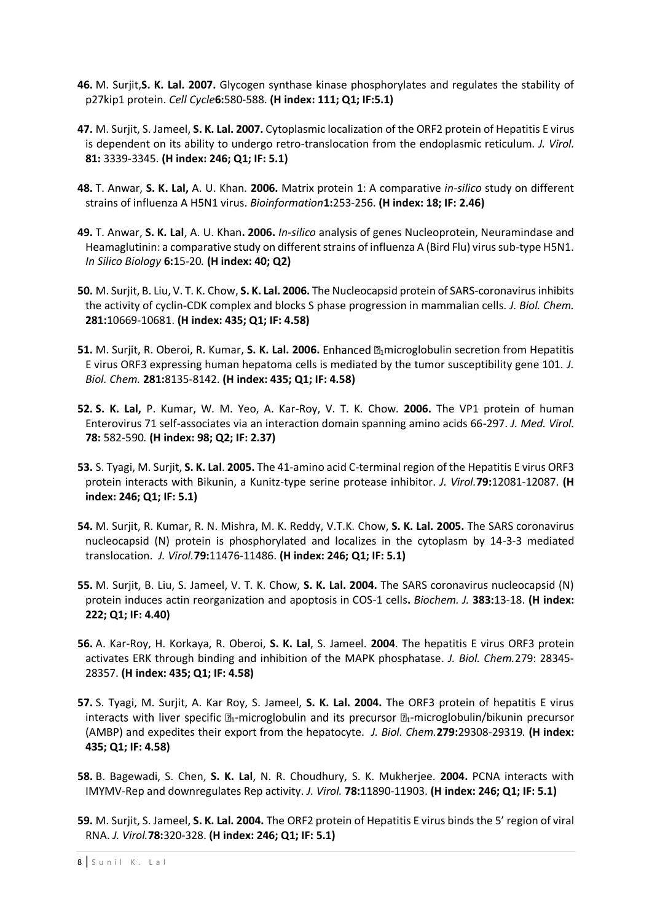- **46.** M. Surjit,**S. K. Lal. 2007.** Glycogen synthase kinase phosphorylates and regulates the stability of p27kip1 protein. *Cell Cycle***6:**580-588. **(H index: 111; Q1; IF:5.1)**
- **47.** M. Surjit, S. Jameel, **S. K. Lal. 2007.** Cytoplasmic localization of the ORF2 protein of Hepatitis E virus is dependent on its ability to undergo retro-translocation from the endoplasmic reticulum. *J. Virol.*  **81:** 3339-3345. **(H index: 246; Q1; IF: 5.1)**
- **48.** T. Anwar, **S. K. Lal,** A. U. Khan. **2006.** Matrix protein 1: A comparative *in-silico* study on different strains of influenza A H5N1 virus. *Bioinformation***1:**253-256. **(H index: 18; IF: 2.46)**
- **49.** T. Anwar, **S. K. Lal**, A. U. Khan**. 2006.** *In-silico* analysis of genes Nucleoprotein, Neuramindase and Heamaglutinin: a comparative study on different strains of influenza A (Bird Flu) virus sub-type H5N1. *In Silico Biology* **6:**15-20*.* **(H index: 40; Q2)**
- **50.** M. Surjit, B. Liu, V. T. K. Chow, **S. K. Lal. 2006.** The Nucleocapsid protein of SARS-coronavirus inhibits the activity of cyclin-CDK complex and blocks S phase progression in mammalian cells. *J. Biol. Chem.*  **281:**10669-10681. **(H index: 435; Q1; IF: 4.58)**
- **51.** M. Surjit, R. Oberoi, R. Kumar, S. K. Lal. 2006. Enhanced **Lamicroglobulin secretion from Hepatitis** E virus ORF3 expressing human hepatoma cells is mediated by the tumor susceptibility gene 101. *J. Biol. Chem.* **281:**8135-8142. **(H index: 435; Q1; IF: 4.58)**
- **52. S. K. Lal,** P. Kumar, W. M. Yeo, A. Kar-Roy, V. T. K. Chow. **2006.** The VP1 protein of human Enterovirus 71 self-associates via an interaction domain spanning amino acids 66-297. *J. Med. Virol.*  **78:** 582-590*.* **(H index: 98; Q2; IF: 2.37)**
- **53.** S. Tyagi, M. Surjit, **S. K. Lal**. **2005.** The 41-amino acid C-terminal region of the Hepatitis E virus ORF3 protein interacts with Bikunin, a Kunitz-type serine protease inhibitor. *J. Virol.***79:**12081-12087. **(H index: 246; Q1; IF: 5.1)**
- **54.** M. Surjit, R. Kumar, R. N. Mishra, M. K. Reddy, V.T.K. Chow, **S. K. Lal. 2005.** The SARS coronavirus nucleocapsid (N) protein is phosphorylated and localizes in the cytoplasm by 14-3-3 mediated translocation. *J. Virol.***79:**11476-11486. **(H index: 246; Q1; IF: 5.1)**
- **55.** M. Surjit, B. Liu, S. Jameel, V. T. K. Chow, **S. K. Lal. 2004.** The SARS coronavirus nucleocapsid (N) protein induces actin reorganization and apoptosis in COS-1 cells**.** *Biochem. J.* **383:**13-18. **(H index: 222; Q1; IF: 4.40)**
- **56.** A. Kar-Roy, H. Korkaya, R. Oberoi, **S. K. Lal**, S. Jameel. **2004**. The hepatitis E virus ORF3 protein activates ERK through binding and inhibition of the MAPK phosphatase. *J. Biol. Chem.*279: 28345- 28357. **(H index: 435; Q1; IF: 4.58)**
- **57.** S. Tyagi, M. Surjit, A. Kar Roy, S. Jameel, **S. K. Lal. 2004.** The ORF3 protein of hepatitis E virus interacts with liver specific  $\mathbb{D}_1$ -microglobulin and its precursor  $\mathbb{D}_1$ -microglobulin/bikunin precursor (AMBP) and expedites their export from the hepatocyte. *J. Biol. Chem.***279:**29308-29319*.* **(H index: 435; Q1; IF: 4.58)**
- **58.** B. Bagewadi, S. Chen, **S. K. Lal**, N. R. Choudhury, S. K. Mukherjee. **2004.** PCNA interacts with IMYMV-Rep and downregulates Rep activity. *J. Virol.* **78:**11890-11903. **(H index: 246; Q1; IF: 5.1)**
- **59.** M. Surjit, S. Jameel, **S. K. Lal. 2004.** The ORF2 protein of Hepatitis E virus binds the 5' region of viral RNA. *J. Virol.***78:**320-328. **(H index: 246; Q1; IF: 5.1)**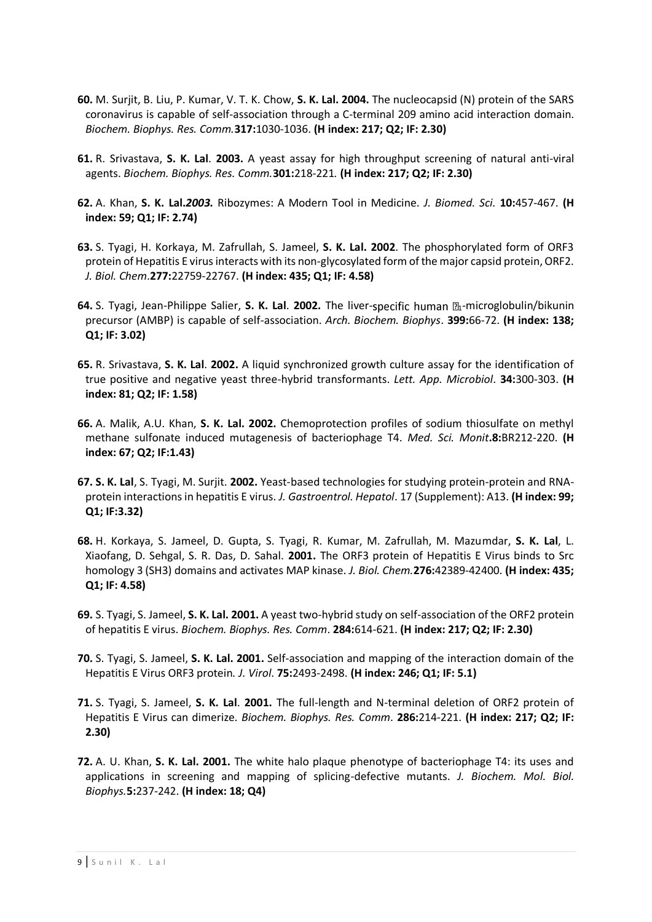- **60.** M. Surjit, B. Liu, P. Kumar, V. T. K. Chow, **S. K. Lal. 2004.** The nucleocapsid (N) protein of the SARS coronavirus is capable of self-association through a C-terminal 209 amino acid interaction domain. *Biochem. Biophys. Res. Comm.***317:**1030-1036. **(H index: 217; Q2; IF: 2.30)**
- **61.** R. Srivastava, **S. K. Lal**. **2003.** A yeast assay for high throughput screening of natural anti-viral agents. *Biochem. Biophys. Res. Comm.***301:**218-221*.* **(H index: 217; Q2; IF: 2.30)**
- **62.** A. Khan, **S. K. Lal.***2003.* Ribozymes: A Modern Tool in Medicine. *J. Biomed. Sci.* **10:**457-467. **(H index: 59; Q1; IF: 2.74)**
- **63.** S. Tyagi, H. Korkaya, M. Zafrullah, S. Jameel, **S. K. Lal. 2002**. The phosphorylated form of ORF3 protein of Hepatitis E virus interacts with its non-glycosylated form of the major capsid protein, ORF2. *J. Biol. Chem*.**277:**22759-22767. **(H index: 435; Q1; IF: 4.58)**
- **64.** S. Tyagi, Jean-Philippe Salier, S. K. Lal. 2002. The liver-specific human  $\mathbb{Z}_1$ -microglobulin/bikunin precursor (AMBP) is capable of self-association. *Arch. Biochem. Biophys*. **399:**66-72. **(H index: 138; Q1; IF: 3.02)**
- **65.** R. Srivastava, **S. K. Lal**. **2002.** A liquid synchronized growth culture assay for the identification of true positive and negative yeast three-hybrid transformants. *Lett. App. Microbiol*. **34:**300-303. **(H index: 81; Q2; IF: 1.58)**
- **66.** A. Malik, A.U. Khan, **S. K. Lal. 2002.** Chemoprotection profiles of sodium thiosulfate on methyl methane sulfonate induced mutagenesis of bacteriophage T4. *Med. Sci. Monit***.8:**BR212-220. **(H index: 67; Q2; IF:1.43)**
- **67. S. K. Lal**, S. Tyagi, M. Surjit. **2002.** Yeast-based technologies for studying protein-protein and RNAprotein interactions in hepatitis E virus. *J. Gastroentrol. Hepatol*. 17 (Supplement): A13. **(H index: 99; Q1; IF:3.32)**
- **68.** H. Korkaya, S. Jameel, D. Gupta, S. Tyagi, R. Kumar, M. Zafrullah, M. Mazumdar, **S. K. Lal**, L. Xiaofang, D. Sehgal, S. R. Das, D. Sahal. **2001.** The ORF3 protein of Hepatitis E Virus binds to Src homology 3 (SH3) domains and activates MAP kinase. *J. Biol. Chem.***276:**42389-42400. **(H index: 435; Q1; IF: 4.58)**
- **69.** S. Tyagi, S. Jameel, **S. K. Lal. 2001.** A yeast two-hybrid study on self-association of the ORF2 protein of hepatitis E virus. *Biochem. Biophys. Res. Comm*. **284:**614-621. **(H index: 217; Q2; IF: 2.30)**
- **70.** S. Tyagi, S. Jameel, **S. K. Lal. 2001.** Self-association and mapping of the interaction domain of the Hepatitis E Virus ORF3 protein*. J. Virol*. **75:**2493-2498. **(H index: 246; Q1; IF: 5.1)**
- **71.** S. Tyagi, S. Jameel, **S. K. Lal**. **2001.** The full-length and N-terminal deletion of ORF2 protein of Hepatitis E Virus can dimerize. *Biochem. Biophys. Res. Comm*. **286:**214-221. **(H index: 217; Q2; IF: 2.30)**
- **72.** A. U. Khan, **S. K. Lal. 2001.** The white halo plaque phenotype of bacteriophage T4: its uses and applications in screening and mapping of splicing-defective mutants. *J. Biochem. Mol. Biol. Biophys.***5:**237-242. **(H index: 18; Q4)**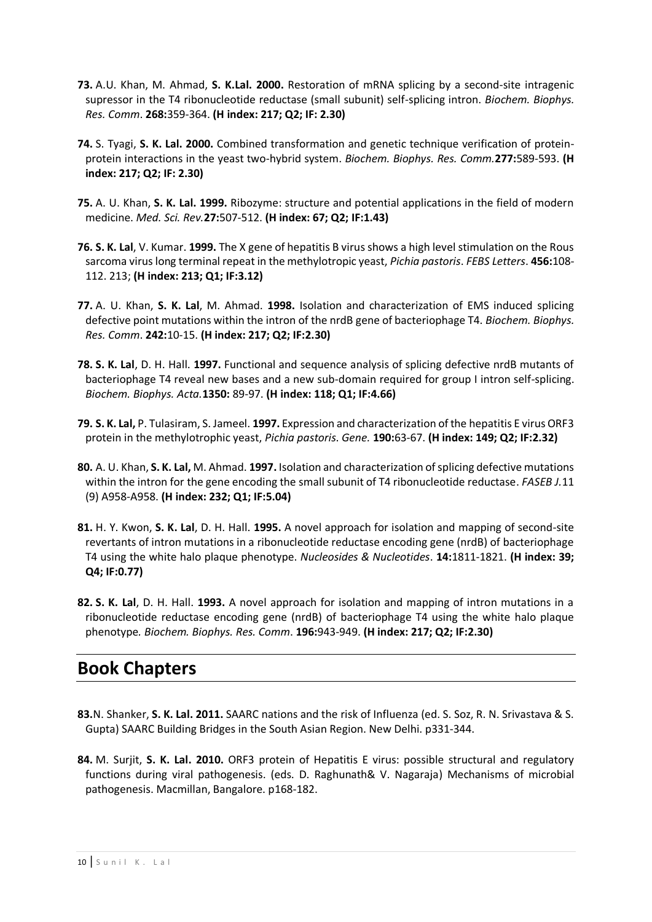- **73.** A.U. Khan, M. Ahmad, **S. K.Lal. 2000.** Restoration of mRNA splicing by a second-site intragenic supressor in the T4 ribonucleotide reductase (small subunit) self-splicing intron. *Biochem. Biophys. Res. Comm*. **268:**359-364. **(H index: 217; Q2; IF: 2.30)**
- **74.** S. Tyagi, **S. K. Lal. 2000.** Combined transformation and genetic technique verification of proteinprotein interactions in the yeast two-hybrid system. *Biochem. Biophys. Res. Comm.***277:**589-593. **(H index: 217; Q2; IF: 2.30)**
- **75.** A. U. Khan, **S. K. Lal. 1999.** Ribozyme: structure and potential applications in the field of modern medicine. *Med. Sci. Rev.***27:**507-512. **(H index: 67; Q2; IF:1.43)**
- **76. S. K. Lal**, V. Kumar. **1999.** The X gene of hepatitis B virus shows a high level stimulation on the Rous sarcoma virus long terminal repeat in the methylotropic yeast, *Pichia pastoris*. *FEBS Letters*. **456:**108- 112. 213; **(H index: 213; Q1; IF:3.12)**
- **77.** A. U. Khan, **S. K. Lal**, M. Ahmad. **1998.** Isolation and characterization of EMS induced splicing defective point mutations within the intron of the nrdB gene of bacteriophage T4. *Biochem. Biophys. Res. Comm*. **242:**10-15. **(H index: 217; Q2; IF:2.30)**
- **78. S. K. Lal**, D. H. Hall. **1997.** Functional and sequence analysis of splicing defective nrdB mutants of bacteriophage T4 reveal new bases and a new sub-domain required for group I intron self-splicing. *Biochem. Biophys. Acta.***1350:** 89-97. **(H index: 118; Q1; IF:4.66)**
- **79. S. K. Lal,** P. Tulasiram, S. Jameel. **1997.** Expression and characterization of the hepatitis E virus ORF3 protein in the methylotrophic yeast, *Pichia pastoris*. *Gene.* **190:**63-67. **(H index: 149; Q2; IF:2.32)**
- **80.** A. U. Khan, **S. K. Lal,** M. Ahmad. **1997.** Isolation and characterization ofsplicing defective mutations within the intron for the gene encoding the small subunit of T4 ribonucleotide reductase. *FASEB J.*11 (9) A958-A958. **(H index: 232; Q1; IF:5.04)**
- **81.** H. Y. Kwon, **S. K. Lal**, D. H. Hall. **1995.** A novel approach for isolation and mapping of second-site revertants of intron mutations in a ribonucleotide reductase encoding gene (nrdB) of bacteriophage T4 using the white halo plaque phenotype. *Nucleosides & Nucleotides*. **14:**1811-1821. **(H index: 39; Q4; IF:0.77)**
- **82. S. K. Lal**, D. H. Hall. **1993.** A novel approach for isolation and mapping of intron mutations in a ribonucleotide reductase encoding gene (nrdB) of bacteriophage T4 using the white halo plaque phenotype*. Biochem. Biophys. Res. Comm*. **196:**943-949. **(H index: 217; Q2; IF:2.30)**

# **Book Chapters**

- **83.**N. Shanker, **S. K. Lal. 2011.** SAARC nations and the risk of Influenza (ed. S. Soz, R. N. Srivastava & S. Gupta) SAARC Building Bridges in the South Asian Region. New Delhi. p331-344.
- **84.** M. Surjit, **S. K. Lal. 2010.** ORF3 protein of Hepatitis E virus: possible structural and regulatory functions during viral pathogenesis. (eds. D. Raghunath& V. Nagaraja) Mechanisms of microbial pathogenesis. Macmillan, Bangalore. p168-182.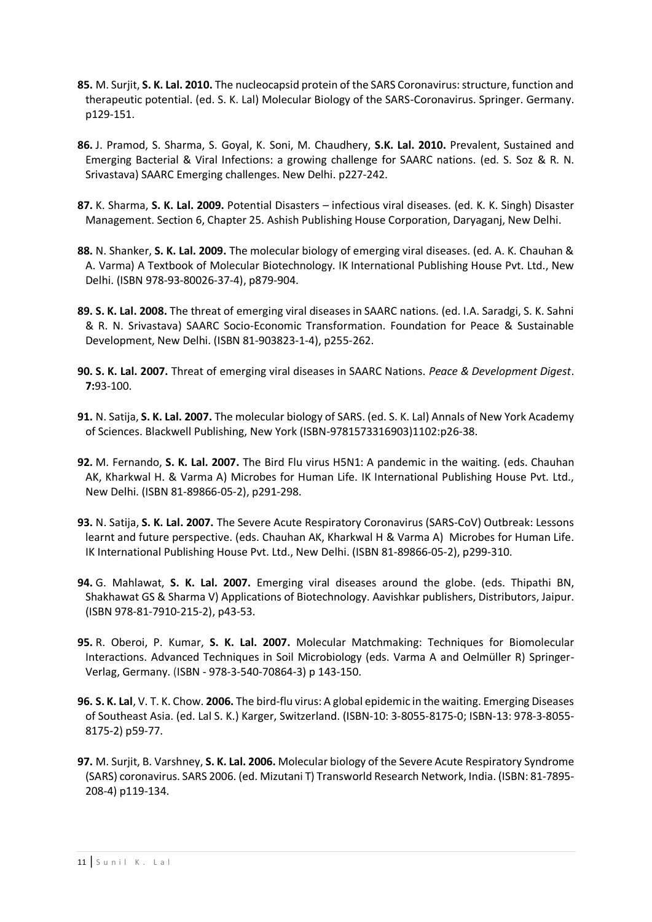- **85.** M. Surjit, **S. K. Lal. 2010.** The nucleocapsid protein of the SARS Coronavirus: structure, function and therapeutic potential. (ed. S. K. Lal) Molecular Biology of the SARS-Coronavirus. Springer. Germany. p129-151.
- **86.** J. Pramod, S. Sharma, S. Goyal, K. Soni, M. Chaudhery, **S.K. Lal. 2010.** Prevalent, Sustained and Emerging Bacterial & Viral Infections: a growing challenge for SAARC nations. (ed. S. Soz & R. N. Srivastava) SAARC Emerging challenges. New Delhi. p227-242.
- **87.** K. Sharma, **S. K. Lal. 2009.** Potential Disasters infectious viral diseases. (ed. K. K. Singh) Disaster Management. Section 6, Chapter 25. Ashish Publishing House Corporation, Daryaganj, New Delhi.
- **88.** N. Shanker, **S. K. Lal. 2009.** The molecular biology of emerging viral diseases. (ed. A. K. Chauhan & A. Varma) A Textbook of Molecular Biotechnology. IK International Publishing House Pvt. Ltd., New Delhi. (ISBN 978-93-80026-37-4), p879-904.
- **89. S. K. Lal. 2008.** The threat of emerging viral diseases in SAARC nations. (ed. I.A. Saradgi, S. K. Sahni & R. N. Srivastava) SAARC Socio-Economic Transformation. Foundation for Peace & Sustainable Development, New Delhi. (ISBN 81-903823-1-4), p255-262.
- **90. S. K. Lal. 2007.** Threat of emerging viral diseases in SAARC Nations. *Peace & Development Digest*. **7:**93-100.
- **91.** N. Satija, **S. K. Lal. 2007.** The molecular biology of SARS. (ed. S. K. Lal) Annals of New York Academy of Sciences. Blackwell Publishing, New York (ISBN-9781573316903)1102:p26-38.
- **92.** M. Fernando, **S. K. Lal. 2007.** The Bird Flu virus H5N1: A pandemic in the waiting. (eds. Chauhan AK, Kharkwal H. & Varma A) Microbes for Human Life. IK International Publishing House Pvt. Ltd., New Delhi. (ISBN 81-89866-05-2), p291-298.
- **93.** N. Satija, **S. K. Lal. 2007.** The Severe Acute Respiratory Coronavirus (SARS-CoV) Outbreak: Lessons learnt and future perspective. (eds. Chauhan AK, Kharkwal H & Varma A) Microbes for Human Life. IK International Publishing House Pvt. Ltd., New Delhi. (ISBN 81-89866-05-2), p299-310.
- **94.** G. Mahlawat, **S. K. Lal. 2007.** Emerging viral diseases around the globe. (eds. Thipathi BN, Shakhawat GS & Sharma V) Applications of Biotechnology. Aavishkar publishers, Distributors, Jaipur. (ISBN 978-81-7910-215-2), p43-53.
- **95.** R. Oberoi, P. Kumar, **S. K. Lal. 2007.** Molecular Matchmaking: Techniques for Biomolecular Interactions. Advanced Techniques in Soil Microbiology (eds. Varma A and Oelmüller R) Springer-Verlag, Germany. (ISBN - 978-3-540-70864-3) p 143-150.
- **96. S. K. Lal**, V. T. K. Chow. **2006.** The bird-flu virus: A global epidemic in the waiting. Emerging Diseases of Southeast Asia. (ed. Lal S. K.) Karger, Switzerland. (ISBN-10: 3-8055-8175-0; ISBN-13: 978-3-8055- 8175-2) p59-77.
- **97.** M. Surjit, B. Varshney, **S. K. Lal. 2006.** Molecular biology of the Severe Acute Respiratory Syndrome (SARS) coronavirus. SARS 2006. (ed. Mizutani T) Transworld Research Network, India. (ISBN: 81-7895- 208-4) p119-134.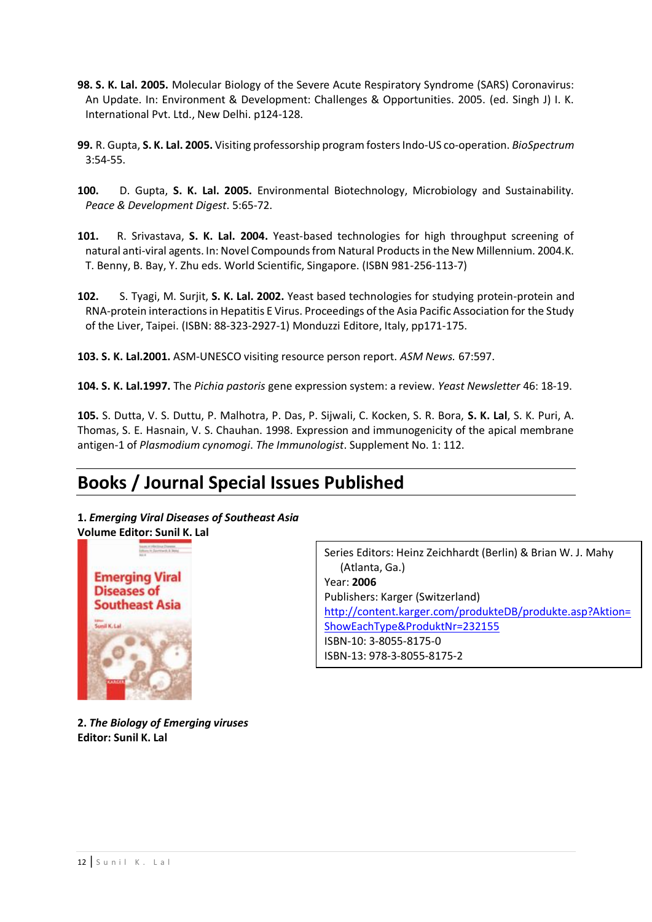- **98. S. K. Lal. 2005.** Molecular Biology of the Severe Acute Respiratory Syndrome (SARS) Coronavirus: An Update. In: Environment & Development: Challenges & Opportunities. 2005. (ed. Singh J) I. K. International Pvt. Ltd., New Delhi. p124-128.
- **99.** R. Gupta, **S. K. Lal. 2005.** Visiting professorship program fosters Indo-US co-operation. *BioSpectrum* 3:54-55.
- **100.** D. Gupta, **S. K. Lal. 2005.** Environmental Biotechnology, Microbiology and Sustainability. *Peace & Development Digest*. 5:65-72.
- **101.** R. Srivastava, **S. K. Lal. 2004.** Yeast-based technologies for high throughput screening of natural anti-viral agents. In: Novel Compounds from Natural Products in the New Millennium. 2004.K. T. Benny, B. Bay, Y. Zhu eds. World Scientific, Singapore. (ISBN 981-256-113-7)
- **102.** S. Tyagi, M. Surjit, **S. K. Lal. 2002.** Yeast based technologies for studying protein-protein and RNA-protein interactions in Hepatitis E Virus. Proceedings of the Asia Pacific Association for the Study of the Liver, Taipei. (ISBN: 88-323-2927-1) Monduzzi Editore, Italy, pp171-175.
- **103. S. K. Lal.2001.** ASM-UNESCO visiting resource person report. *ASM News.* 67:597.
- **104. S. K. Lal.1997.** The *Pichia pastoris* gene expression system: a review. *Yeast Newsletter* 46: 18-19.

**105.** S. Dutta, V. S. Duttu, P. Malhotra, P. Das, P. Sijwali, C. Kocken, S. R. Bora, **S. K. Lal**, S. K. Puri, A. Thomas, S. E. Hasnain, V. S. Chauhan. 1998. Expression and immunogenicity of the apical membrane antigen-1 of *Plasmodium cynomogi*. *The Immunologist*. Supplement No. 1: 112.

# **Books / Journal Special Issues Published**

## **1.** *Emerging Viral Diseases of Southeast Asia*



Series Editors: Heinz Zeichhardt (Berlin) & Brian W. J. Mahy (Atlanta, Ga.) Year: **2006** Publishers: Karger (Switzerland) [http://content.karger.com/produkteDB/produkte.asp?Aktion=](http://content.karger.com/produkteDB/produkte.asp?Aktion=ShowEachType&ProduktNr=232155) [ShowEachType&ProduktNr=232155](http://content.karger.com/produkteDB/produkte.asp?Aktion=ShowEachType&ProduktNr=232155) ISBN-10: 3-8055-8175-0 ISBN-13: 978-3-8055-8175-2

**2.** *The Biology of Emerging viruses* **Editor: Sunil K. Lal**